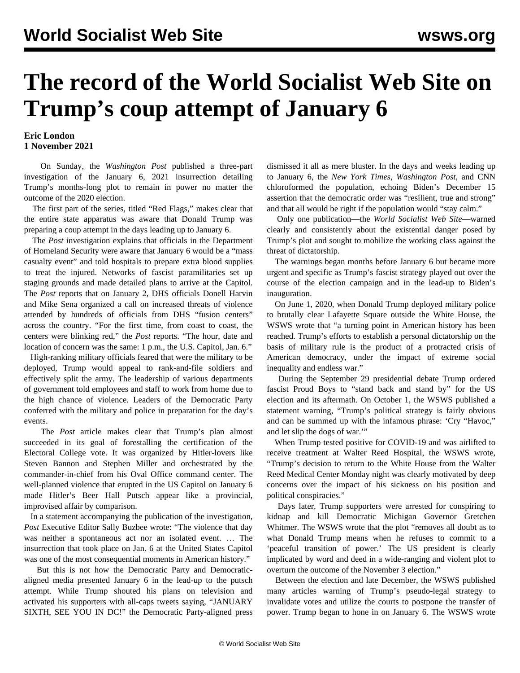## **The record of the World Socialist Web Site on Trump's coup attempt of January 6**

## **Eric London 1 November 2021**

 On Sunday, the *Washington Post* published a three-part investigation of the January 6, 2021 insurrection detailing Trump's months-long plot to remain in power no matter the outcome of the 2020 election.

 The first part of the series, titled "Red Flags," makes clear that the entire state apparatus was aware that Donald Trump was preparing a coup attempt in the days leading up to January 6.

 The *Post* investigation explains that officials in the Department of Homeland Security were aware that January 6 would be a "mass casualty event" and told hospitals to prepare extra blood supplies to treat the injured. Networks of fascist paramilitaries set up staging grounds and made detailed plans to arrive at the Capitol. The *Post* reports that on January 2, DHS officials Donell Harvin and Mike Sena organized a call on increased threats of violence attended by hundreds of officials from DHS "fusion centers" across the country. "For the first time, from coast to coast, the centers were blinking red," the *Post* reports. "The hour, date and location of concern was the same: 1 p.m., the U.S. Capitol, Jan. 6."

 High-ranking military officials feared that were the military to be deployed, Trump would appeal to rank-and-file soldiers and effectively split the army. The leadership of various departments of government told employees and staff to work from home due to the high chance of violence. Leaders of the Democratic Party conferred with the military and police in preparation for the day's events.

 The *Post* article makes clear that Trump's plan almost succeeded in its goal of forestalling the certification of the Electoral College vote. It was organized by Hitler-lovers like Steven Bannon and Stephen Miller and orchestrated by the commander-in-chief from his Oval Office command center. The well-planned violence that erupted in the US Capitol on January 6 made Hitler's Beer Hall Putsch appear like a provincial, improvised affair by comparison.

 In a statement accompanying the publication of the investigation, *Post* Executive Editor Sally Buzbee wrote: "The violence that day was neither a spontaneous act nor an isolated event. … The insurrection that took place on Jan. 6 at the United States Capitol was one of the most consequential moments in American history."

 But this is not how the Democratic Party and Democraticaligned media presented January 6 in the lead-up to the putsch attempt. While Trump shouted his plans on television and activated his supporters with all-caps tweets saying, "JANUARY SIXTH, SEE YOU IN DC!" the Democratic Party-aligned press dismissed it all as mere bluster. In the days and weeks leading up to January 6, the *New York Times*, *Washington Post*, and CNN chloroformed the population, echoing Biden's December 15 assertion that the democratic order was "resilient, true and strong" and that all would be right if the population would "stay calm."

 Only one publication—the *World Socialist Web Site*—warned clearly and consistently about the existential danger posed by Trump's plot and sought to mobilize the working class against the threat of dictatorship.

 The warnings began months before January 6 but became more urgent and specific as Trump's fascist strategy played out over the course of the election campaign and in the lead-up to Biden's inauguration.

 On June 1, 2020, when Donald Trump deployed military police to brutally clear Lafayette Square outside the White House, the WSWS wrote that "a turning point in American history has been reached. Trump's efforts to establish a personal dictatorship on the basis of military rule is the product of a protracted crisis of American democracy, under the impact of extreme social inequality and endless war."

 During the September 29 presidential debate Trump ordered fascist Proud Boys to "stand back and stand by" for the US election and its aftermath. On October 1, the WSWS published a statement warning, "Trump's political strategy is fairly obvious and can be summed up with the infamous phrase: 'Cry "Havoc," and let slip the dogs of war.'"

 When Trump tested positive for COVID-19 and was airlifted to receive treatment at Walter Reed Hospital, the WSWS wrote, "Trump's decision to return to the White House from the Walter Reed Medical Center Monday night was clearly motivated by deep concerns over the impact of his sickness on his position and political conspiracies."

 Days later, Trump supporters were arrested for conspiring to kidnap and kill Democratic Michigan Governor Gretchen Whitmer. The WSWS wrote that the plot "removes all doubt as to what Donald Trump means when he refuses to commit to a 'peaceful transition of power.' The US president is clearly implicated by word and deed in a wide-ranging and violent plot to overturn the outcome of the November 3 election."

 Between the election and late December, the WSWS published many articles warning of Trump's pseudo-legal strategy to invalidate votes and utilize the courts to postpone the transfer of power. Trump began to hone in on January 6. The WSWS wrote